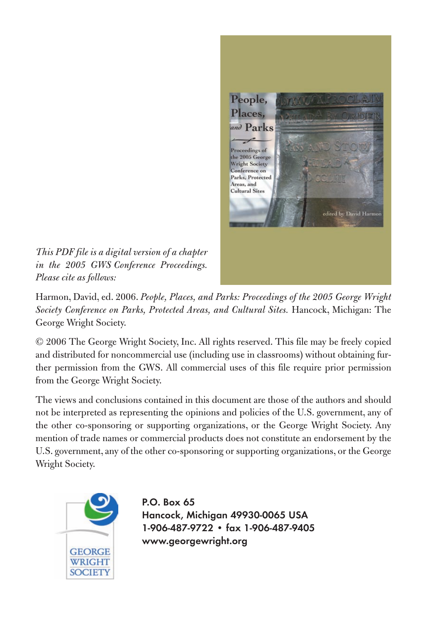

*This PDF file is a digital version of a chapter in the 2005 GWS Conference Proceedings. Please cite as follows:*

Harmon, David, ed. 2006. *People, Places, and Parks: Proceedings of the 2005 George Wright Society Conference on Parks, Protected Areas, and Cultural Sites.* Hancock, Michigan: The George Wright Society.

© 2006 The George Wright Society, Inc. All rights reserved. This file may be freely copied and distributed for noncommercial use (including use in classrooms) without obtaining further permission from the GWS. All commercial uses of this file require prior permission from the George Wright Society.

The views and conclusions contained in this document are those of the authors and should not be interpreted as representing the opinions and policies of the U.S. government, any of the other co-sponsoring or supporting organizations, or the George Wright Society. Any mention of trade names or commercial products does not constitute an endorsement by the U.S. government, any of the other co-sponsoring or supporting organizations, or the George Wright Society.



**P.O. Box 65 Hancock, Michigan 49930-0065 USA 1-906-487-9722 • fax 1-906-487-9405 www.georgewright.org**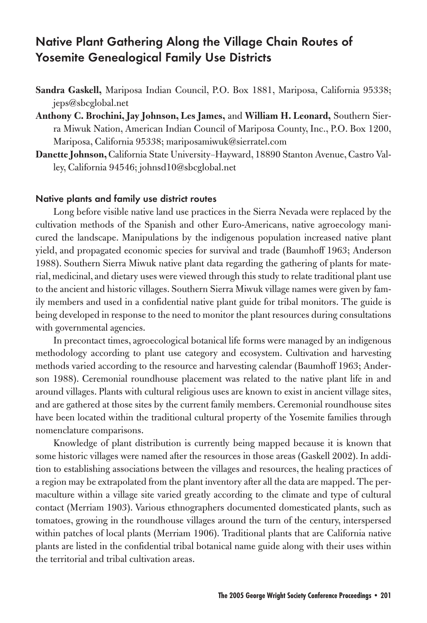# **Native Plant Gathering Along the Village Chain Routes of Yosemite Genealogical Family Use Districts**

- **Sandra Gaskell,** Mariposa Indian Council, P.O. Box 1881, Mariposa, California 95338; jeps@sbcglobal.net
- **Anthony C. Brochini, Jay Johnson, Les James,** and **William H. Leonard,** Southern Sierra Miwuk Nation, American Indian Council of Mariposa County, Inc., P.O. Box 1200, Mariposa, California 95338; mariposamiwuk@sierratel.com
- **Danette Johnson,**California State University–Hayward, 18890 Stanton Avenue, Castro Valley, California 94546; johnsd10@sbcglobal.net

#### **Native plants and family use district routes**

Long before visible native land use practices in the Sierra Nevada were replaced by the cultivation methods of the Spanish and other Euro-Americans, native agroecology manicured the landscape. Manipulations by the indigenous population increased native plant yield, and propagated economic species for survival and trade (Baumhoff 1963; Anderson 1988). Southern Sierra Miwuk native plant data regarding the gathering of plants for material, medicinal,and dietary uses were viewed through this study to relate traditional plant use to the ancient and historic villages. Southern Sierra Miwuk village names were given by family members and used in a confidential native plant guide for tribal monitors. The guide is being developed in response to the need to monitor the plant resources during consultations with governmental agencies.

In precontact times, agroecological botanical life forms were managed by an indigenous methodology according to plant use category and ecosystem. Cultivation and harvesting methods varied according to the resource and harvesting calendar (Baumhoff 1963; Anderson 1988). Ceremonial roundhouse placement was related to the native plant life in and around villages. Plants with cultural religious uses are known to exist in ancient village sites, and are gathered at those sites by the current family members. Ceremonial roundhouse sites have been located within the traditional cultural property of the Yosemite families through nomenclature comparisons.

Knowledge of plant distribution is currently being mapped because it is known that some historic villages were named after the resources in those areas (Gaskell 2002). In addition to establishing associations between the villages and resources, the healing practices of a region may be extrapolated from the plant inventory after all the data are mapped. The permaculture within a village site varied greatly according to the climate and type of cultural contact (Merriam 1903). Various ethnographers documented domesticated plants, such as tomatoes, growing in the roundhouse villages around the turn of the century, interspersed within patches of local plants (Merriam 1906). Traditional plants that are California native plants are listed in the confidential tribal botanical name guide along with their uses within the territorial and tribal cultivation areas.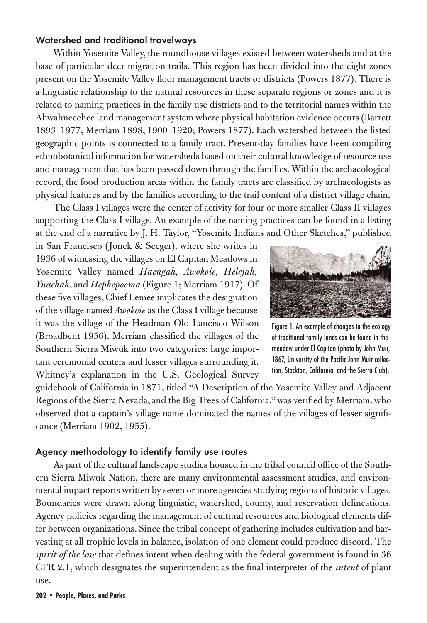### **Watershed and traditional travelways**

Within Yosemite Valley, the roundhouse villages existed between watersheds and at the base of particular deer migration trails. This region has been divided into the eight zones present on the Yosemite Valley floor management tracts or districts (Powers 1877). There is a linguistic relationship to the natural resources in these separate regions or zones and it is related to naming practices in the family use districts and to the territorial names within the Ahwahneechee land management system where physical habitation evidence occurs (Barrett 1893–1977; Merriam 1898, 1900–1920; Powers 1877). Each watershed between the listed geographic points is connected to a family tract. Present-day families have been compiling ethnobotanical information for watersheds based on their cultural knowledge of resource use and management that has been passed down through the families. Within the archaeological record, the food production areas within the family tracts are classified by archaeologists as physical features and by the families according to the trail content of a district village chain.

The Class I villages were the center of activity for four or more smaller Class II villages supporting the Class I village. An example of the naming practices can be found in a listing at the end of a narrative by J. H. Taylor, "Yosemite Indians and Other Sketches," published

in San Francisco (Jonck & Seeger), where she writes in 1936 of witnessing the villages on El Capitan Meadows in Yosemite Valley named *Haengah, Awokoie, Helejah, Yuachah*, and *Hephepooma* (Figure 1; Merriam 1917). Of these five villages, Chief Lemee implicates the designation of the village named *Awokoie*as the Class I village because it was the village of the Headman Old Lancisco Wilson (Broadbent 1956). Merriam classified the villages of the Southern Sierra Miwuk into two categories: large important ceremonial centers and lesser villages surrounding it. Whitney's explanation in the U.S. Geological Survey



Figure 1. An example of changes to the ecology of traditional family lands can be found in the meadow under El Capitan (photo by John Muir, 1867, University of the Pacific John Muir collection, Stockton, California, and the Sierra Club).

guidebook of California in 1871, titled "A Description of the Yosemite Valley and Adjacent Regions of the Sierra Nevada, and the Big Trees of California," was verified by Merriam, who observed that a captain's village name dominated the names of the villages of lesser significance (Merriam 1902, 1955).

#### **Agency methodology to identify family use routes**

As part of the cultural landscape studies housed in the tribal council office of the Southern Sierra Miwuk Nation, there are many environmental assessment studies, and environmental impact reports written by seven or more agencies studying regions of historic villages. Boundaries were drawn along linguistic, watershed, county, and reservation delineations. Agency policies regarding the management of cultural resources and biological elements differ between organizations. Since the tribal concept of gathering includes cultivation and harvesting at all trophic levels in balance, isolation of one element could produce discord. The *spirit of the law* that defines intent when dealing with the federal government is found in 36 CFR 2.1, which designates the superintendent as the final interpreter of the *intent* of plant use.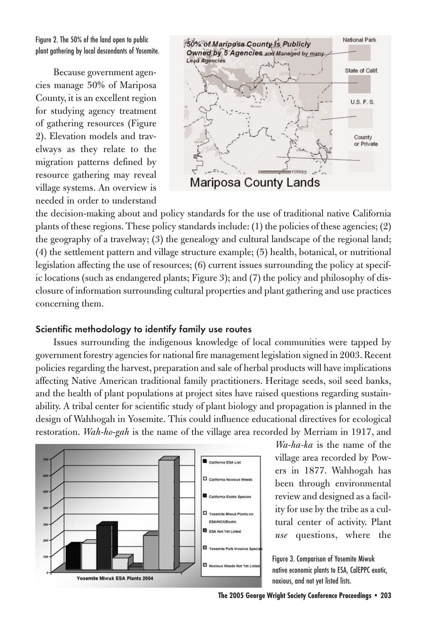Figure 2. The 50% of the land open to public plant gathering by local descendants of Yosemite.

Because government agencies manage 50% of Mariposa County, it is an excellent region for studying agency treatment of gathering resources (Figure 2). Elevation models and travelways as they relate to the migration patterns defined by resource gathering may reveal village systems. An overview is needed in order to understand



the decision-making about and policy standards for the use of traditional native California plants of these regions. These policy standards include: (1) the policies of these agencies; (2) the geography of a travelway; (3) the genealogy and cultural landscape of the regional land; (4) the settlement pattern and village structure example; (5) health, botanical, or nutritional legislation affecting the use of resources; (6) current issues surrounding the policy at specific locations (such as endangered plants; Figure 3); and (7) the policy and philosophy of disclosure of information surrounding cultural properties and plant gathering and use practices concerning them.

#### **Scientific methodology to identify family use routes**

Issues surrounding the indigenous knowledge of local communities were tapped by government forestry agencies for national fire management legislation signed in 2003. Recent policies regarding the harvest, preparation and sale of herbal products will have implications affecting Native American traditional family practitioners. Heritage seeds, soil seed banks, and the health of plant populations at project sites have raised questions regarding sustainability. A tribal center for scientific study of plant biology and propagation is planned in the design of Wahhogah in Yosemite. This could influence educational directives for ecological restoration. *Wah-ho-gah* is the name of the village area recorded by Merriam in 1917, and



*Wa-ha-ka* is the name of the village area recorded by Powers in 1877. Wahhogah has been through environmental review and designed as a facility for use by the tribe as a cultural center of activity. Plant *use* questions, where the

Figure 3. Comparison of Yosemite Miwuk native economic plants to ESA, CalEPPC exotic, noxious, and not yet listed lists.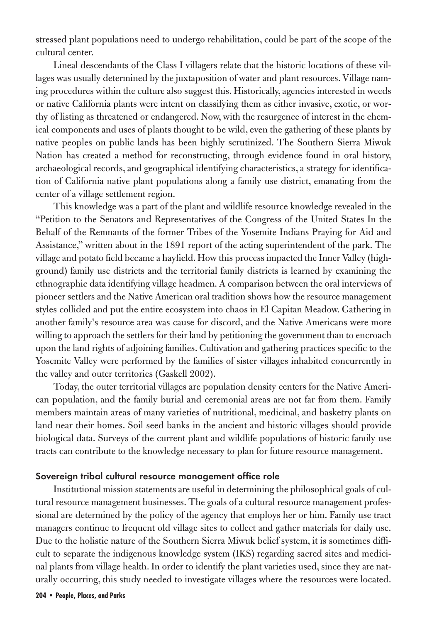stressed plant populations need to undergo rehabilitation, could be part of the scope of the cultural center.

Lineal descendants of the Class I villagers relate that the historic locations of these villages was usually determined by the juxtaposition of water and plant resources. Village naming procedures within the culture also suggest this. Historically, agencies interested in weeds or native California plants were intent on classifying them as either invasive, exotic, or worthy of listing as threatened or endangered. Now, with the resurgence of interest in the chemical components and uses of plants thought to be wild, even the gathering of these plants by native peoples on public lands has been highly scrutinized. The Southern Sierra Miwuk Nation has created a method for reconstructing, through evidence found in oral history, archaeological records, and geographical identifying characteristics, a strategy for identification of California native plant populations along a family use district, emanating from the center of a village settlement region.

This knowledge was a part of the plant and wildlife resource knowledge revealed in the "Petition to the Senators and Representatives of the Congress of the United States In the Behalf of the Remnants of the former Tribes of the Yosemite Indians Praying for Aid and Assistance," written about in the 1891 report of the acting superintendent of the park. The village and potato field became a hayfield. How this process impacted the Inner Valley (highground) family use districts and the territorial family districts is learned by examining the ethnographic data identifying village headmen. A comparison between the oral interviews of pioneer settlers and the Native American oral tradition shows how the resource management styles collided and put the entire ecosystem into chaos in El Capitan Meadow. Gathering in another family's resource area was cause for discord, and the Native Americans were more willing to approach the settlers for their land by petitioning the government than to encroach upon the land rights of adjoining families. Cultivation and gathering practices specific to the Yosemite Valley were performed by the families of sister villages inhabited concurrently in the valley and outer territories (Gaskell 2002).

Today, the outer territorial villages are population density centers for the Native American population, and the family burial and ceremonial areas are not far from them. Family members maintain areas of many varieties of nutritional, medicinal, and basketry plants on land near their homes. Soil seed banks in the ancient and historic villages should provide biological data. Surveys of the current plant and wildlife populations of historic family use tracts can contribute to the knowledge necessary to plan for future resource management.

### **Sovereign tribal cultural resource management office role**

Institutional mission statements are useful in determining the philosophical goals of cultural resource management businesses. The goals of a cultural resource management professional are determined by the policy of the agency that employs her or him. Family use tract managers continue to frequent old village sites to collect and gather materials for daily use. Due to the holistic nature of the Southern Sierra Miwuk belief system, it is sometimes difficult to separate the indigenous knowledge system (IKS) regarding sacred sites and medicinal plants from village health. In order to identify the plant varieties used, since they are naturally occurring, this study needed to investigate villages where the resources were located.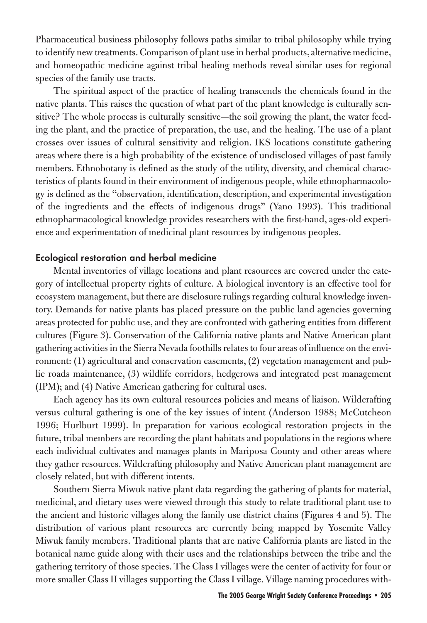Pharmaceutical business philosophy follows paths similar to tribal philosophy while trying to identify new treatments. Comparison of plant use in herbal products, alternative medicine, and homeopathic medicine against tribal healing methods reveal similar uses for regional species of the family use tracts.

The spiritual aspect of the practice of healing transcends the chemicals found in the native plants. This raises the question of what part of the plant knowledge is culturally sensitive? The whole process is culturally sensitive—the soil growing the plant, the water feeding the plant, and the practice of preparation, the use, and the healing. The use of a plant crosses over issues of cultural sensitivity and religion. IKS locations constitute gathering areas where there is a high probability of the existence of undisclosed villages of past family members. Ethnobotany is defined as the study of the utility, diversity, and chemical characteristics of plants found in their environment of indigenous people, while ethnopharmacology is defined as the "observation, identification, description, and experimental investigation of the ingredients and the effects of indigenous drugs" (Yano 1993). This traditional ethnopharmacological knowledge provides researchers with the first-hand, ages-old experience and experimentation of medicinal plant resources by indigenous peoples.

## **Ecological restoration and herbal medicine**

Mental inventories of village locations and plant resources are covered under the category of intellectual property rights of culture. A biological inventory is an effective tool for ecosystem management, but there are disclosure rulings regarding cultural knowledge inventory. Demands for native plants has placed pressure on the public land agencies governing areas protected for public use, and they are confronted with gathering entities from different cultures (Figure 3). Conservation of the California native plants and Native American plant gathering activities in the Sierra Nevada foothills relates to four areas of influence on the environment: (1) agricultural and conservation easements, (2) vegetation management and public roads maintenance, (3) wildlife corridors, hedgerows and integrated pest management (IPM); and (4) Native American gathering for cultural uses.

Each agency has its own cultural resources policies and means of liaison. Wildcrafting versus cultural gathering is one of the key issues of intent (Anderson 1988; McCutcheon 1996; Hurlburt 1999). In preparation for various ecological restoration projects in the future, tribal members are recording the plant habitats and populations in the regions where each individual cultivates and manages plants in Mariposa County and other areas where they gather resources. Wildcrafting philosophy and Native American plant management are closely related, but with different intents.

Southern Sierra Miwuk native plant data regarding the gathering of plants for material, medicinal, and dietary uses were viewed through this study to relate traditional plant use to the ancient and historic villages along the family use district chains (Figures 4 and 5). The distribution of various plant resources are currently being mapped by Yosemite Valley Miwuk family members. Traditional plants that are native California plants are listed in the botanical name guide along with their uses and the relationships between the tribe and the gathering territory of those species. The Class I villages were the center of activity for four or more smaller Class II villages supporting the Class I village. Village naming procedures with-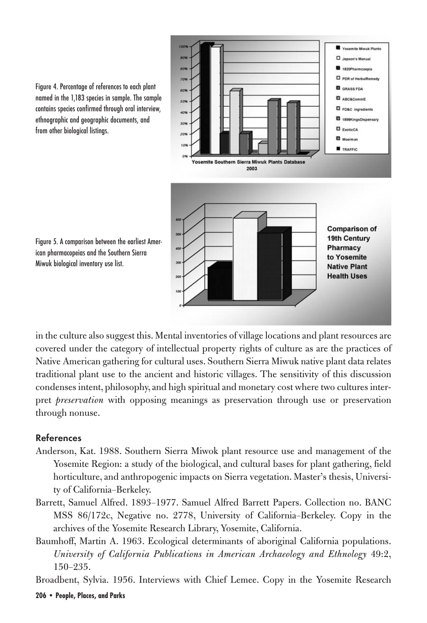

Figure 4. Percentage of references to each plant named in the 1,183 species in sample. The sample contains species confirmed through oral interview, ethnographic and geographic documents, and from other biological listings.

Figure 5. A comparison between the earliest American pharmacopeias and the Southern Sierra Miwuk biological inventory use list.

in the culture also suggest this. Mental inventories of village locations and plant resources are covered under the category of intellectual property rights of culture as are the practices of Native American gathering for cultural uses. Southern Sierra Miwuk native plant data relates traditional plant use to the ancient and historic villages. The sensitivity of this discussion condenses intent, philosophy, and high spiritual and monetary cost where two cultures interpret *preservation* with opposing meanings as preservation through use or preservation through nonuse.

## **References**

- Anderson, Kat. 1988. Southern Sierra Miwok plant resource use and management of the Yosemite Region: a study of the biological, and cultural bases for plant gathering, field horticulture, and anthropogenic impacts on Sierra vegetation. Master's thesis, University of California–Berkeley.
- Barrett, Samuel Alfred. 1893–1977. Samuel Alfred Barrett Papers. Collection no. BANC MSS 86/172c, Negative no. 2778, University of California–Berkeley. Copy in the archives of the Yosemite Research Library, Yosemite, California.
- Baumhoff, Martin A. 1963. Ecological determinants of aboriginal California populations. *University of California Publications in American Archaeology and Ethnology* 49:2, 150–235.

Broadbent, Sylvia. 1956. Interviews with Chief Lemee. Copy in the Yosemite Research